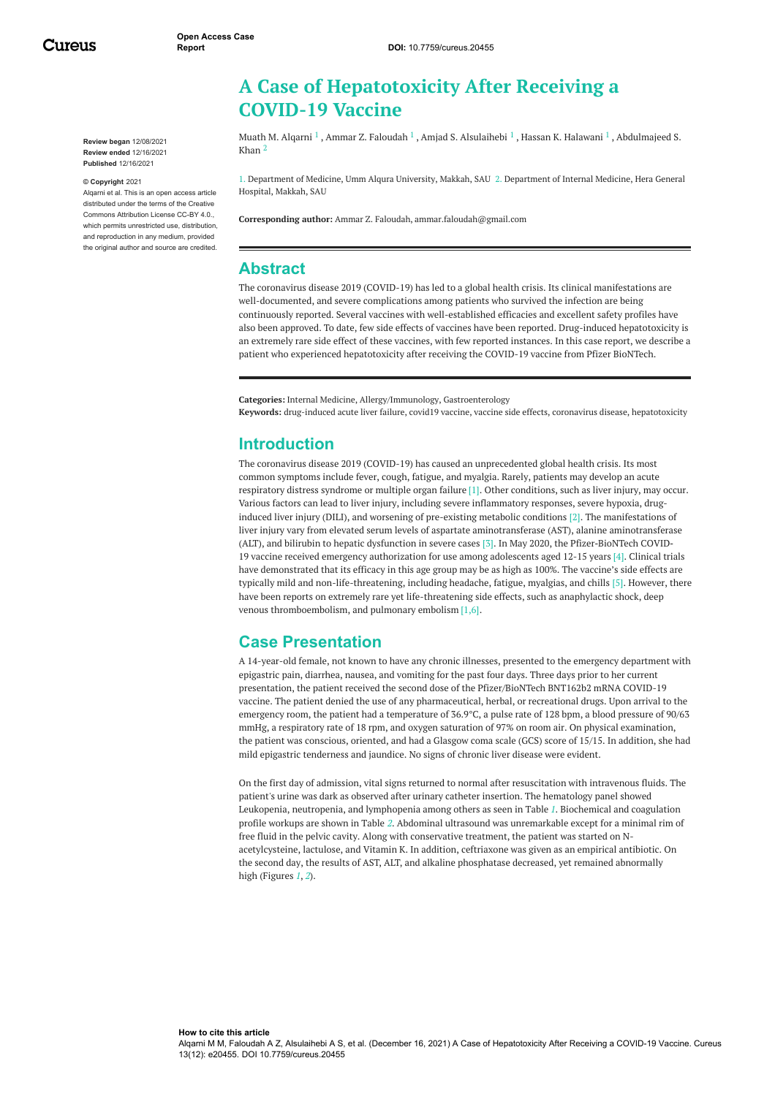Cureus

**Review began** 12/08/2021 **Review ended** 12/16/2021 **Published** 12/16/2021

#### **© Copyright** 2021

Alqarni et al. This is an open access article distributed under the terms of the Creative Commons Attribution License CC-BY 4.0., which permits unrestricted use, distribution, and reproduction in any medium, provided the original author and source are credited.

# **A Case of Hepatotoxicity After Receiving a COVID-19 Vaccine**

Muath M. [Alqarni](https://www.cureus.com/users/307708-muath-m-alqarni)  $^1$  , Ammar Z. [Faloudah](https://www.cureus.com/users/304848-ammar-z-faloudah)  $^1$  , Amjad S. [Alsulaihebi](https://www.cureus.com/users/308490-amjad-s-alsulaihebi)  $^1$  , Hassan K. [Halawani](https://www.cureus.com/users/311263-hassan-k-halawani)  $^1$  , [Abdulmajeed](https://www.cureus.com/users/286601-abdulmajeed-s-khan) S. Khan 2

1. Department of Medicine, Umm Alqura University, Makkah, SAU 2. Department of Internal Medicine, Hera General Hospital, Makkah, SAU

**Corresponding author:** Ammar Z. Faloudah, ammar.faloudah@gmail.com

#### **Abstract**

The coronavirus disease 2019 (COVID-19) has led to a global health crisis. Its clinical manifestations are well-documented, and severe complications among patients who survived the infection are being continuously reported. Several vaccines with well-established efficacies and excellent safety profiles have also been approved. To date, few side effects of vaccines have been reported. Drug-induced hepatotoxicity is an extremely rare side effect of these vaccines, with few reported instances. In this case report, we describe a patient who experienced hepatotoxicity after receiving the COVID-19 vaccine from Pfizer BioNTech.

**Categories:** Internal Medicine, Allergy/Immunology, Gastroenterology **Keywords:** drug-induced acute liver failure, covid19 vaccine, vaccine side effects, coronavirus disease, hepatotoxicity

### **Introduction**

The coronavirus disease 2019 (COVID-19) has caused an unprecedented global health crisis. Its most common symptoms include fever, cough, fatigue, and myalgia. Rarely, patients may develop an acute respiratory distress syndrome or multiple organ failure [1]. Other conditions, such as liver injury, may occur. Various factors can lead to liver injury, including severe inflammatory responses, severe hypoxia, druginduced liver injury (DILI), and worsening of pre-existing metabolic conditions [2]. The manifestations of liver injury vary from elevated serum levels of aspartate aminotransferase (AST), alanine aminotransferase (ALT), and bilirubin to hepatic dysfunction in severe cases [3]. In May 2020, the Pfizer‐BioNTech COVID‐ 19 vaccine received emergency authorization for use among adolescents aged 12-15 years [4]. Clinical trials have demonstrated that its efficacy in this age group may be as high as 100%. The vaccine's side effects are typically mild and non-life-threatening, including headache, fatigue, myalgias, and chills [5]. However, there have been reports on extremely rare yet life-threatening side effects, such as anaphylactic shock, deep venous thromboembolism, and pulmonary embolism [1,6].

#### **Case Presentation**

A 14-year-old female, not known to have any chronic illnesses, presented to the emergency department with epigastric pain, diarrhea, nausea, and vomiting for the past four days. Three days prior to her current presentation, the patient received the second dose of the Pfizer/BioNTech BNT162b2 mRNA COVID-19 vaccine. The patient denied the use of any pharmaceutical, herbal, or recreational drugs. Upon arrival to the emergency room, the patient had a temperature of 36.9°C, a pulse rate of 128 bpm, a blood pressure of 90/63 mmHg, a respiratory rate of 18 rpm, and oxygen saturation of 97% on room air. On physical examination, the patient was conscious, oriented, and had a Glasgow coma scale (GCS) score of 15/15. In addition, she had mild epigastric tenderness and jaundice. No signs of chronic liver disease were evident.

On the first day of admission, vital signs returned to normal after resuscitation with intravenous fluids. The patient's urine was dark as observed after urinary catheter insertion. The hematology panel showed Leukopenia, neutropenia, and lymphopenia among others as seen in Table *[1](#page-1-0)*. Biochemical and coagulation profile workups are shown in Table *[2](#page-1-1)*. Abdominal ultrasound was unremarkable except for a minimal rim of free fluid in the pelvic cavity. Along with conservative treatment, the patient was started on Nacetylcysteine, lactulose, and Vitamin K. In addition, ceftriaxone was given as an empirical antibiotic. On the second day, the results of AST, ALT, and alkaline phosphatase decreased, yet remained abnormally high (Figures *[1](#page-2-0)*, *[2](#page-2-1)*).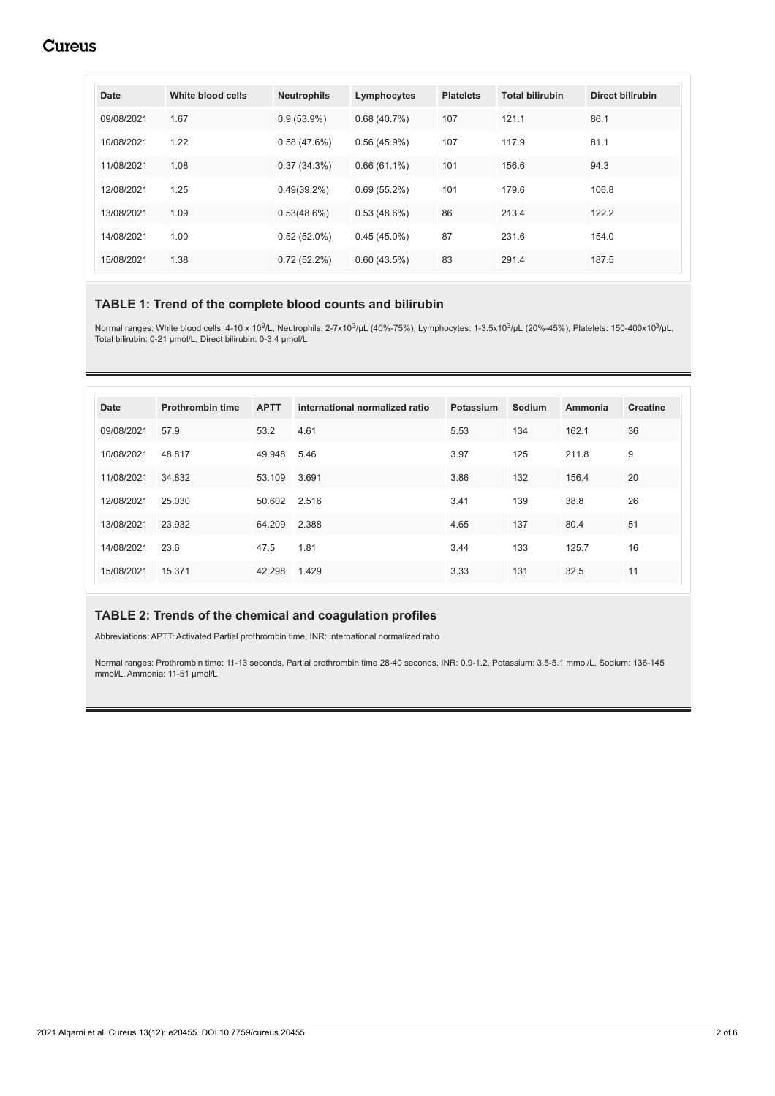## **Cureus**

<span id="page-1-0"></span>

| Date       | White blood cells | <b>Neutrophils</b> | Lymphocytes    | <b>Platelets</b> | <b>Total bilirubin</b> | Direct bilirubin |
|------------|-------------------|--------------------|----------------|------------------|------------------------|------------------|
| 09/08/2021 | 1.67              | $0.9(53.9\%)$      | 0.68(40.7%)    | 107              | 121.1                  | 86.1             |
| 10/08/2021 | 1.22              | 0.58(47.6%)        | 0.56(45.9%)    | 107              | 117.9                  | 81.1             |
| 11/08/2021 | 1.08              | 0.37(34.3%)        | $0.66(61.1\%)$ | 101              | 156.6                  | 94.3             |
| 12/08/2021 | 1.25              | $0.49(39.2\%)$     | 0.69(55.2%)    | 101              | 179.6                  | 106.8            |
| 13/08/2021 | 1.09              | 0.53(48.6%)        | 0.53(48.6%)    | 86               | 213.4                  | 122.2            |
| 14/08/2021 | 1.00              | $0.52(52.0\%)$     | $0.45(45.0\%)$ | 87               | 231.6                  | 154.0            |
| 15/08/2021 | 1.38              | 0.72(52.2%)        | 0.60(43.5%)    | 83               | 291.4                  | 187.5            |

#### **TABLE 1: Trend of the complete blood counts and bilirubin**

Normal ranges: White blood cells: 4-10 x 10<sup>9</sup>/L, Neutrophils: 2-7x10<sup>3</sup>/µL (40%-75%), Lymphocytes: 1-3.5x10<sup>3</sup>/µL (20%-45%), Platelets: 150-400x10<sup>3</sup>/µL, Total bilirubin: 0-21 µmol/L, Direct bilirubin: 0-3.4 µmol/L

<span id="page-1-1"></span>

| <b>Date</b> | <b>Prothrombin time</b> | <b>APTT</b> | international normalized ratio | Potassium | Sodium | Ammonia | <b>Creatine</b> |
|-------------|-------------------------|-------------|--------------------------------|-----------|--------|---------|-----------------|
| 09/08/2021  | 57.9                    | 53.2        | 4.61                           | 5.53      | 134    | 162.1   | 36              |
| 10/08/2021  | 48.817                  | 49.948      | 5.46                           | 3.97      | 125    | 211.8   | 9               |
| 11/08/2021  | 34.832                  | 53.109      | 3.691                          | 3.86      | 132    | 156.4   | 20              |
| 12/08/2021  | 25.030                  | 50.602      | 2.516                          | 3.41      | 139    | 38.8    | 26              |
| 13/08/2021  | 23.932                  | 64.209      | 2.388                          | 4.65      | 137    | 80.4    | 51              |
| 14/08/2021  | 23.6                    | 47.5        | 1.81                           | 3.44      | 133    | 125.7   | 16              |
| 15/08/2021  | 15.371                  | 42.298      | 1.429                          | 3.33      | 131    | 32.5    | 11              |

#### **TABLE 2: Trends of the chemical and coagulation profiles**

Abbreviations: APTT: Activated Partial prothrombin time, INR: international normalized ratio

Normal ranges: Prothrombin time: 11-13 seconds, Partial prothrombin time 28-40 seconds, INR: 0.9-1.2, Potassium: 3.5-5.1 mmol/L, Sodium: 136-145 mmol/L, Ammonia: 11-51 µmol/L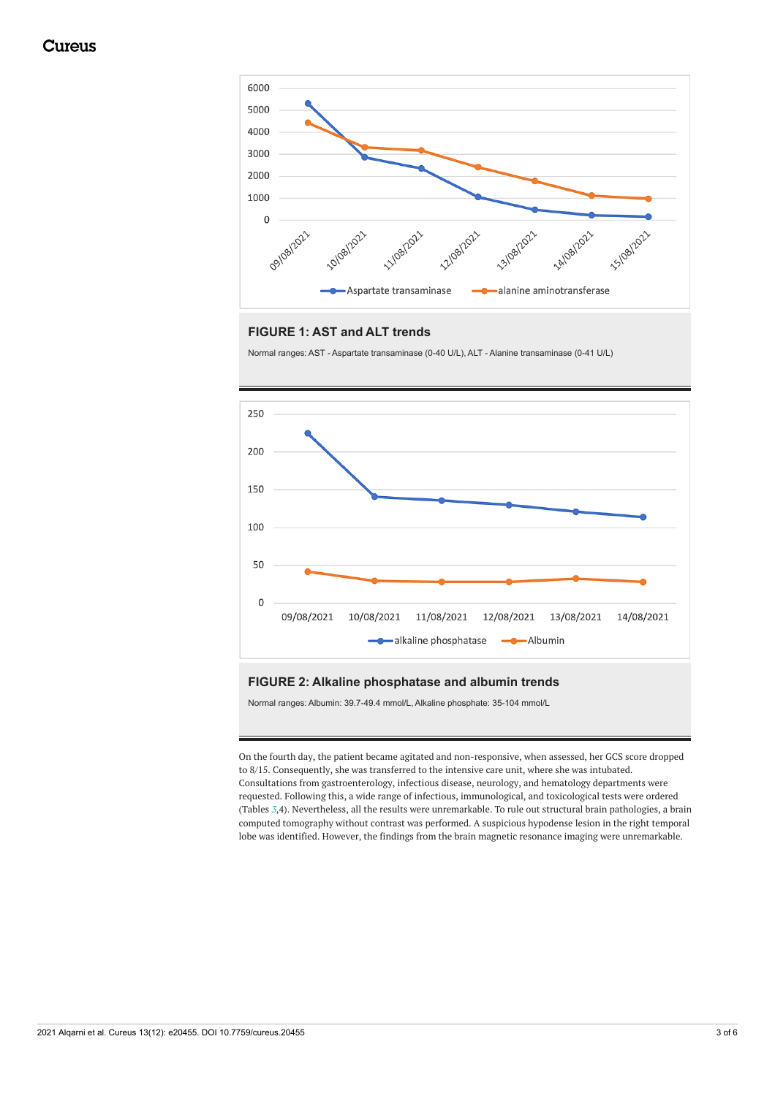<span id="page-2-0"></span>

#### **FIGURE 1: AST and ALT trends**

Normal ranges: AST - Aspartate transaminase (0-40 U/L), ALT - Alanine transaminase (0-41 U/L)

<span id="page-2-1"></span>

#### **FIGURE 2: Alkaline phosphatase and albumin trends**

Normal ranges: Albumin: 39.7-49.4 mmol/L, Alkaline phosphate: 35-104 mmol/L

On the fourth day, the patient became agitated and non-responsive, when assessed, her GCS score dropped to 8/15. Consequently, she was transferred to the intensive care unit, where she was intubated. Consultations from gastroenterology, infectious disease, neurology, and hematology departments were requested. Following this, a wide range of infectious, immunological, and toxicological tests were ordered (Tables *[3](#page-3-0)*,4). Nevertheless, all the results were unremarkable. To rule out structural brain pathologies, a brain computed tomography without contrast was performed. A suspicious hypodense lesion in the right temporal lobe was identified. However, the findings from the brain magnetic resonance imaging were unremarkable.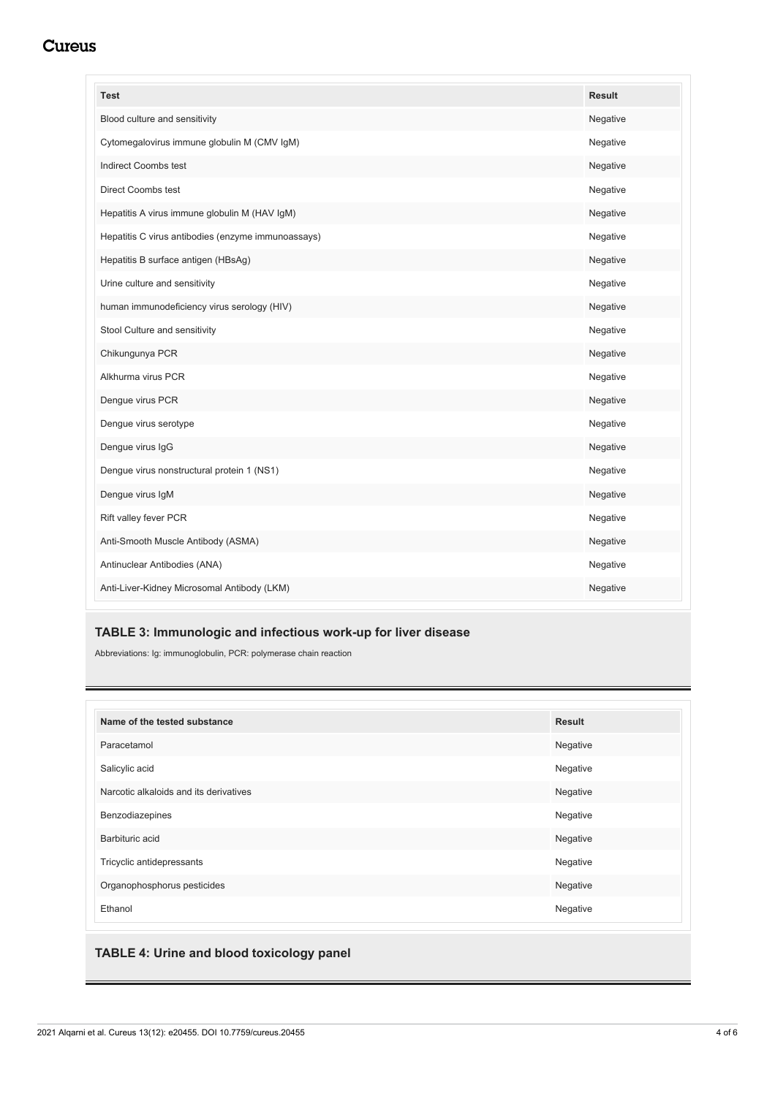## Cureus

<span id="page-3-0"></span>

| <b>Test</b>                                        | <b>Result</b> |
|----------------------------------------------------|---------------|
| Blood culture and sensitivity                      | Negative      |
| Cytomegalovirus immune globulin M (CMV IgM)        | Negative      |
| Indirect Coombs test                               | Negative      |
| <b>Direct Coombs test</b>                          | Negative      |
| Hepatitis A virus immune globulin M (HAV IgM)      | Negative      |
| Hepatitis C virus antibodies (enzyme immunoassays) | Negative      |
| Hepatitis B surface antigen (HBsAg)                | Negative      |
| Urine culture and sensitivity                      | Negative      |
| human immunodeficiency virus serology (HIV)        | Negative      |
| Stool Culture and sensitivity                      | Negative      |
| Chikungunya PCR                                    | Negative      |
| Alkhurma virus PCR                                 | Negative      |
| Dengue virus PCR                                   | Negative      |
| Dengue virus serotype                              | Negative      |
| Dengue virus IgG                                   | Negative      |
| Dengue virus nonstructural protein 1 (NS1)         | Negative      |
| Dengue virus IgM                                   | Negative      |
| Rift valley fever PCR                              | Negative      |
| Anti-Smooth Muscle Antibody (ASMA)                 | Negative      |
| Antinuclear Antibodies (ANA)                       | Negative      |
| Anti-Liver-Kidney Microsomal Antibody (LKM)        | Negative      |

#### **TABLE 3: Immunologic and infectious work-up for liver disease**

Abbreviations: Ig: immunoglobulin, PCR: polymerase chain reaction

| Name of the tested substance           | <b>Result</b> |
|----------------------------------------|---------------|
| Paracetamol                            | Negative      |
| Salicylic acid                         | Negative      |
| Narcotic alkaloids and its derivatives | Negative      |
| Benzodiazepines                        | Negative      |
| Barbituric acid                        | Negative      |
| Tricyclic antidepressants              | Negative      |
| Organophosphorus pesticides            | Negative      |
| Ethanol                                | Negative      |

### **TABLE 4: Urine and blood toxicology panel**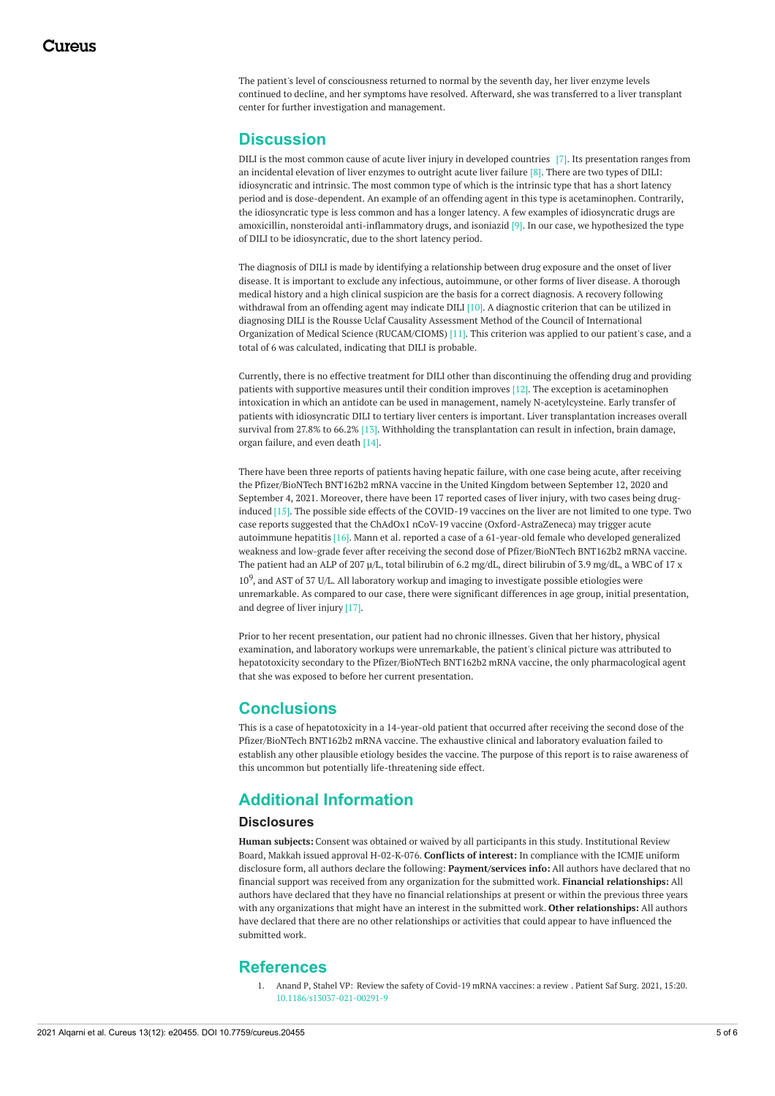The patient's level of consciousness returned to normal by the seventh day, her liver enzyme levels continued to decline, and her symptoms have resolved. Afterward, she was transferred to a liver transplant center for further investigation and management.

### **Discussion**

DILI is the most common cause of acute liver injury in developed countries [7]. Its presentation ranges from an incidental elevation of liver enzymes to outright acute liver failure [8]. There are two types of DILI: idiosyncratic and intrinsic. The most common type of which is the intrinsic type that has a short latency period and is dose-dependent. An example of an offending agent in this type is acetaminophen. Contrarily, the idiosyncratic type is less common and has a longer latency. A few examples of idiosyncratic drugs are amoxicillin, nonsteroidal anti-inflammatory drugs, and isoniazid [9]. In our case, we hypothesized the type of DILI to be idiosyncratic, due to the short latency period.

The diagnosis of DILI is made by identifying a relationship between drug exposure and the onset of liver disease. It is important to exclude any infectious, autoimmune, or other forms of liver disease. A thorough medical history and a high clinical suspicion are the basis for a correct diagnosis. A recovery following withdrawal from an offending agent may indicate DILI [10]. A diagnostic criterion that can be utilized in diagnosing DILI is the Rousse Uclaf Causality Assessment Method of the Council of International Organization of Medical Science (RUCAM/CIOMS) [11]. This criterion was applied to our patient's case, and a total of 6 was calculated, indicating that DILI is probable.

Currently, there is no effective treatment for DILI other than discontinuing the offending drug and providing patients with supportive measures until their condition improves [12]. The exception is acetaminophen intoxication in which an antidote can be used in management, namely N-acetylcysteine. Early transfer of patients with idiosyncratic DILI to tertiary liver centers is important. Liver transplantation increases overall survival from 27.8% to 66.2% [13]. Withholding the transplantation can result in infection, brain damage, organ failure, and even death [14].

There have been three reports of patients having hepatic failure, with one case being acute, after receiving the Pfizer/BioNTech BNT162b2 mRNA vaccine in the United Kingdom between September 12, 2020 and September 4, 2021. Moreover, there have been 17 reported cases of liver injury, with two cases being druginduced [15]. The possible side effects of the COVID-19 vaccines on the liver are not limited to one type. Two case reports suggested that the ChAdOx1 nCoV-19 vaccine (Oxford-AstraZeneca) may trigger acute autoimmune hepatitis [16]. Mann et al. reported a case of a 61-year-old female who developed generalized weakness and low-grade fever after receiving the second dose of Pfizer/BioNTech BNT162b2 mRNA vaccine. The patient had an ALP of 207 µ/L, total bilirubin of 6.2 mg/dL, direct bilirubin of 3.9 mg/dL, a WBC of 17 x  $10^9$ , and AST of 37 U/L. All laboratory workup and imaging to investigate possible etiologies were unremarkable. As compared to our case, there were significant differences in age group, initial presentation, and degree of liver injury [17].

Prior to her recent presentation, our patient had no chronic illnesses. Given that her history, physical examination, and laboratory workups were unremarkable, the patient's clinical picture was attributed to hepatotoxicity secondary to the Pfizer/BioNTech BNT162b2 mRNA vaccine, the only pharmacological agent that she was exposed to before her current presentation.

#### **Conclusions**

This is a case of hepatotoxicity in a 14-year-old patient that occurred after receiving the second dose of the Pfizer/BioNTech BNT162b2 mRNA vaccine. The exhaustive clinical and laboratory evaluation failed to establish any other plausible etiology besides the vaccine. The purpose of this report is to raise awareness of this uncommon but potentially life-threatening side effect.

### **Additional Information**

#### **Disclosures**

**Human subjects:** Consent was obtained or waived by all participants in this study. Institutional Review Board, Makkah issued approval H-02-K-076. **Conflicts of interest:** In compliance with the ICMJE uniform disclosure form, all authors declare the following: **Payment/services info:** All authors have declared that no financial support was received from any organization for the submitted work. **Financial relationships:** All authors have declared that they have no financial relationships at present or within the previous three years with any organizations that might have an interest in the submitted work. **Other relationships:** All authors have declared that there are no other relationships or activities that could appear to have influenced the submitted work.

#### **References**

1. Anand P, Stahel VP: Review the safety of Covid-19 mRNA [vaccines:](https://dx.doi.org/10.1186/s13037-021-00291-9?utm_medium=email&utm_source=transaction) a review . Patient Saf Surg. 2021, 15:20. [10.1186/s13037-021-00291-9](https://dx.doi.org/10.1186/s13037-021-00291-9?utm_medium=email&utm_source=transaction)